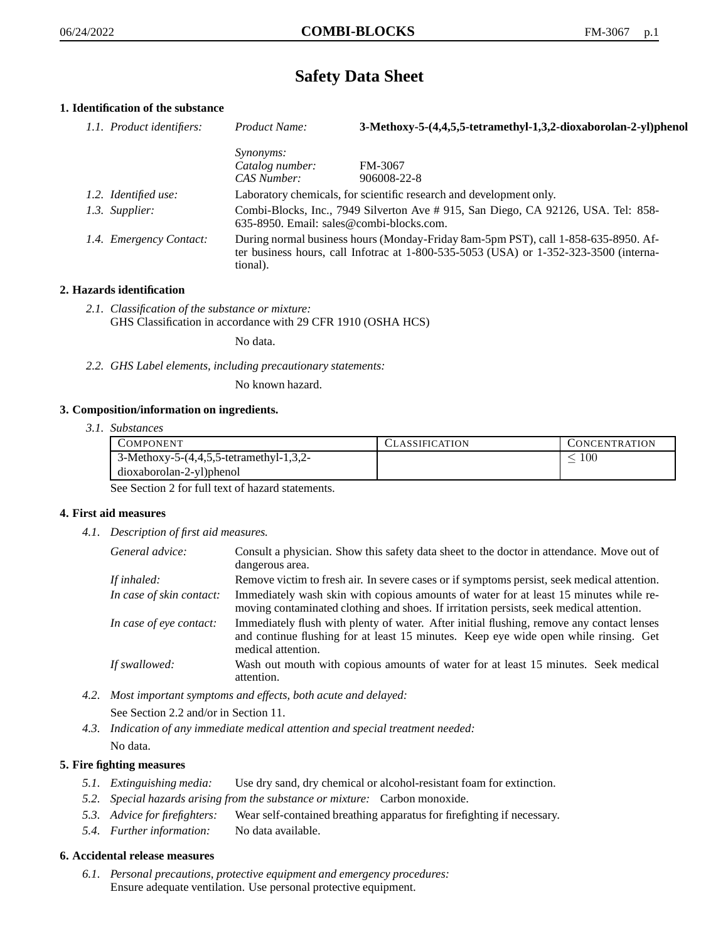# **Safety Data Sheet**

# **1. Identification of the substance**

| 1.1. Product identifiers: | Product Name:                                                                                                                                                                               | 3-Methoxy-5-(4,4,5,5-tetramethyl-1,3,2-dioxaborolan-2-yl)phenol |
|---------------------------|---------------------------------------------------------------------------------------------------------------------------------------------------------------------------------------------|-----------------------------------------------------------------|
|                           | <i>Synonyms:</i>                                                                                                                                                                            |                                                                 |
|                           | Catalog number:                                                                                                                                                                             | FM-3067                                                         |
|                           | CAS Number:                                                                                                                                                                                 | 906008-22-8                                                     |
| 1.2. Identified use:      | Laboratory chemicals, for scientific research and development only.                                                                                                                         |                                                                 |
| 1.3. Supplier:            | Combi-Blocks, Inc., 7949 Silverton Ave #915, San Diego, CA 92126, USA. Tel: 858-<br>635-8950. Email: sales@combi-blocks.com.                                                                |                                                                 |
| 1.4. Emergency Contact:   | During normal business hours (Monday-Friday 8am-5pm PST), call 1-858-635-8950. Af-<br>ter business hours, call Infotrac at $1-800-535-5053$ (USA) or $1-352-323-3500$ (interna-<br>tional). |                                                                 |

## **2. Hazards identification**

*2.1. Classification of the substance or mixture:* GHS Classification in accordance with 29 CFR 1910 (OSHA HCS)

No data.

*2.2. GHS Label elements, including precautionary statements:*

No known hazard.

## **3. Composition/information on ingredients.**

*3.1. Substances*

| COMPONENT                                   | CLASSIFICATION | CONCENTRATION |
|---------------------------------------------|----------------|---------------|
| 3-Methoxy-5- $(4,4,5,5$ -tetramethyl-1,3,2- |                | .00           |
| dioxaborolan-2-yl)phenol                    |                |               |

See Section 2 for full text of hazard statements.

## **4. First aid measures**

*4.1. Description of first aid measures.*

| General advice:          | Consult a physician. Show this safety data sheet to the doctor in attendance. Move out of<br>dangerous area.                                                                                            |
|--------------------------|---------------------------------------------------------------------------------------------------------------------------------------------------------------------------------------------------------|
| If inhaled:              | Remove victim to fresh air. In severe cases or if symptoms persist, seek medical attention.                                                                                                             |
| In case of skin contact: | Immediately wash skin with copious amounts of water for at least 15 minutes while re-<br>moving contaminated clothing and shoes. If irritation persists, seek medical attention.                        |
| In case of eye contact:  | Immediately flush with plenty of water. After initial flushing, remove any contact lenses<br>and continue flushing for at least 15 minutes. Keep eye wide open while rinsing. Get<br>medical attention. |
| If swallowed:            | Wash out mouth with copious amounts of water for at least 15 minutes. Seek medical<br>attention.                                                                                                        |

- *4.2. Most important symptoms and effects, both acute and delayed:* See Section 2.2 and/or in Section 11.
- *4.3. Indication of any immediate medical attention and special treatment needed:* No data.

# **5. Fire fighting measures**

- *5.1. Extinguishing media:* Use dry sand, dry chemical or alcohol-resistant foam for extinction.
- *5.2. Special hazards arising from the substance or mixture:* Carbon monoxide.
- *5.3. Advice for firefighters:* Wear self-contained breathing apparatus for firefighting if necessary.
- *5.4. Further information:* No data available.

## **6. Accidental release measures**

*6.1. Personal precautions, protective equipment and emergency procedures:* Ensure adequate ventilation. Use personal protective equipment.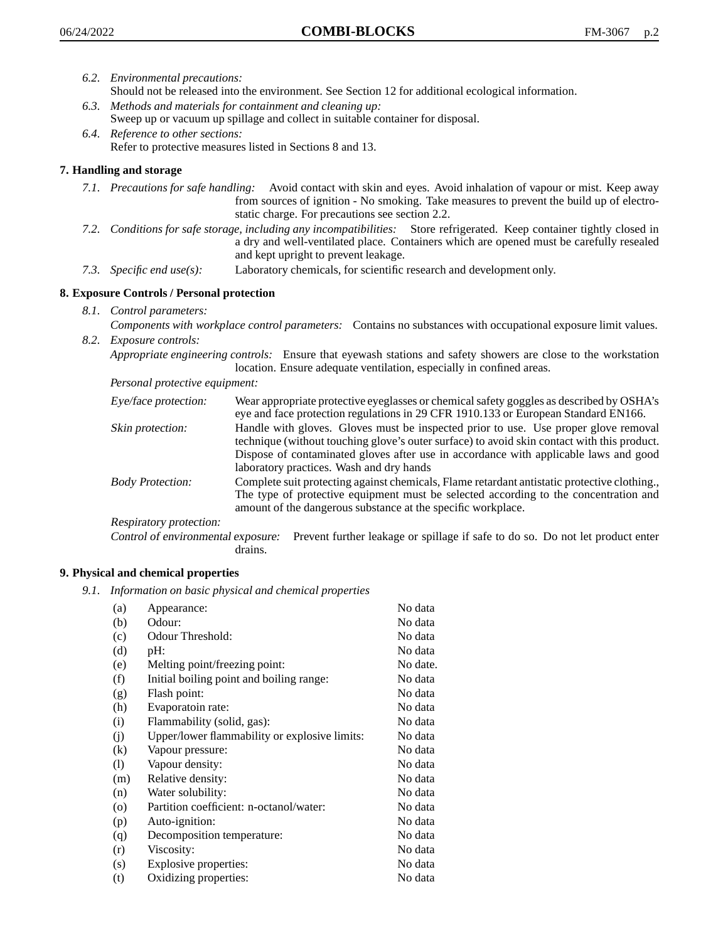- *6.2. Environmental precautions:*
	- Should not be released into the environment. See Section 12 for additional ecological information.
- *6.3. Methods and materials for containment and cleaning up:* Sweep up or vacuum up spillage and collect in suitable container for disposal.
- *6.4. Reference to other sections:* Refer to protective measures listed in Sections 8 and 13.

# **7. Handling and storage**

- *7.1. Precautions for safe handling:* Avoid contact with skin and eyes. Avoid inhalation of vapour or mist. Keep away from sources of ignition - No smoking. Take measures to prevent the build up of electrostatic charge. For precautions see section 2.2.
- *7.2. Conditions for safe storage, including any incompatibilities:* Store refrigerated. Keep container tightly closed in a dry and well-ventilated place. Containers which are opened must be carefully resealed and kept upright to prevent leakage.
- *7.3. Specific end use(s):* Laboratory chemicals, for scientific research and development only.

## **8. Exposure Controls / Personal protection**

*8.1. Control parameters:*

*Components with workplace control parameters:* Contains no substances with occupational exposure limit values. *8.2. Exposure controls:*

*Appropriate engineering controls:* Ensure that eyewash stations and safety showers are close to the workstation location. Ensure adequate ventilation, especially in confined areas.

*Personal protective equipment:*

| Eye/face protection:    | Wear appropriate protective eyeglasses or chemical safety goggles as described by OSHA's<br>eye and face protection regulations in 29 CFR 1910.133 or European Standard EN166.                                                                                                                                         |
|-------------------------|------------------------------------------------------------------------------------------------------------------------------------------------------------------------------------------------------------------------------------------------------------------------------------------------------------------------|
| Skin protection:        | Handle with gloves. Gloves must be inspected prior to use. Use proper glove removal<br>technique (without touching glove's outer surface) to avoid skin contact with this product.<br>Dispose of contaminated gloves after use in accordance with applicable laws and good<br>laboratory practices. Wash and dry hands |
| <b>Body Protection:</b> | Complete suit protecting against chemicals, Flame retardant antistatic protective clothing.,<br>The type of protective equipment must be selected according to the concentration and<br>amount of the dangerous substance at the specific workplace.                                                                   |
| Respiratory protection: |                                                                                                                                                                                                                                                                                                                        |

Control of environmental exposure: Prevent further leakage or spillage if safe to do so. Do not let product enter drains.

## **9. Physical and chemical properties**

*9.1. Information on basic physical and chemical properties*

| (a)      | Appearance:                                   | No data  |
|----------|-----------------------------------------------|----------|
| (b)      | Odour:                                        | No data  |
| (c)      | Odour Threshold:                              | No data  |
| (d)      | pH:                                           | No data  |
| (e)      | Melting point/freezing point:                 | No date. |
| (f)      | Initial boiling point and boiling range:      | No data  |
| (g)      | Flash point:                                  | No data  |
| (h)      | Evaporatoin rate:                             | No data  |
| (i)      | Flammability (solid, gas):                    | No data  |
| (j)      | Upper/lower flammability or explosive limits: | No data  |
| $\rm(k)$ | Vapour pressure:                              | No data  |
| (1)      | Vapour density:                               | No data  |
| (m)      | Relative density:                             | No data  |
| (n)      | Water solubility:                             | No data  |
| $\circ$  | Partition coefficient: n-octanol/water:       | No data  |
| (p)      | Auto-ignition:                                | No data  |
| (q)      | Decomposition temperature:                    | No data  |
| (r)      | Viscosity:                                    | No data  |
| (s)      | Explosive properties:                         | No data  |
| (t)      | Oxidizing properties:                         | No data  |